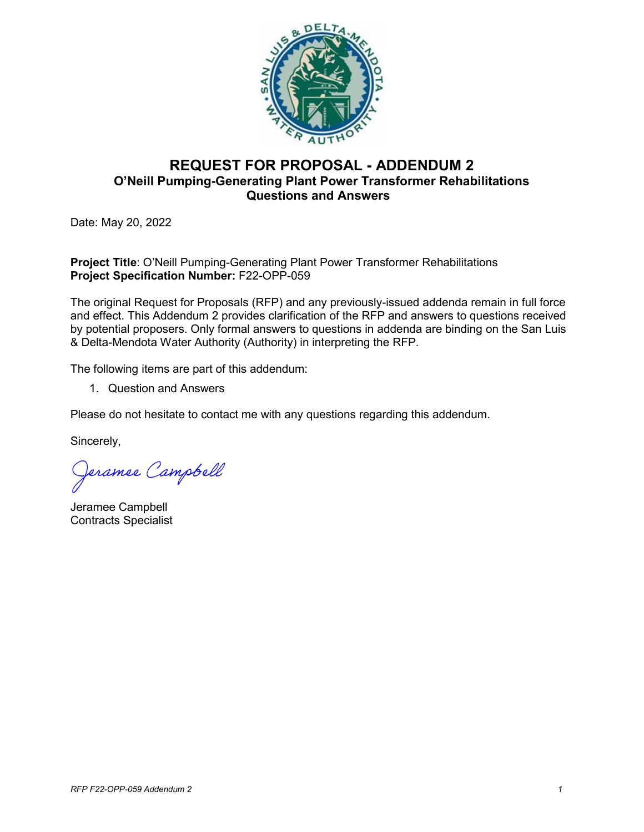

## **REQUEST FOR PROPOSAL - ADDENDUM 2 O'Neill Pumping-Generating Plant Power Transformer Rehabilitations Questions and Answers**

Date: May 20, 2022

**Project Title**: O'Neill Pumping-Generating Plant Power Transformer Rehabilitations **Project Specification Number:** F22-OPP-059

The original Request for Proposals (RFP) and any previously-issued addenda remain in full force and effect. This Addendum 2 provides clarification of the RFP and answers to questions received by potential proposers. Only formal answers to questions in addenda are binding on the San Luis & Delta-Mendota Water Authority (Authority) in interpreting the RFP.

The following items are part of this addendum:

1. Question and Answers

Please do not hesitate to contact me with any questions regarding this addendum.

Sincerely,

Jeramee Campbell

Jeramee Campbell Contracts Specialist